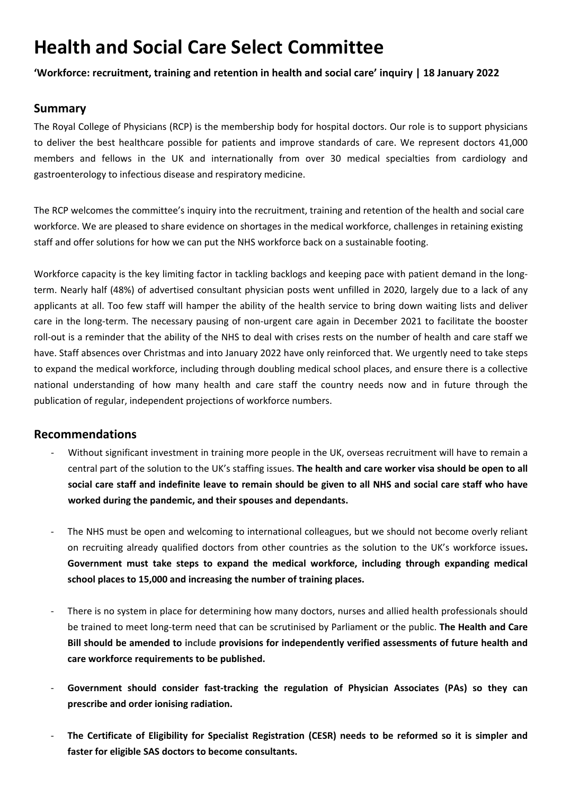# **Health and Social Care Select Committee**

**'Workforce: recruitment, training and retention in health and social care' inquiry | 18 January 2022**

### **Summary**

The Royal College of Physicians (RCP) is the membership body for hospital doctors. Our role is to support physicians to deliver the best healthcare possible for patients and improve standards of care. We represent doctors 41,000 members and fellows in the UK and internationally from over 30 medical specialties from cardiology and gastroenterology to infectious disease and respiratory medicine.

The RCP welcomes the committee's inquiry into the recruitment, training and retention of the health and social care workforce. We are pleased to share evidence on shortages in the medical workforce, challenges in retaining existing staff and offer solutions for how we can put the NHS workforce back on a sustainable footing.

Workforce capacity is the key limiting factor in tackling backlogs and keeping pace with patient demand in the longterm. Nearly half (48%) of advertised consultant physician posts went unfilled in 2020, largely due to a lack of any applicants at all. Too few staff will hamper the ability of the health service to bring down waiting lists and deliver care in the long-term. The necessary pausing of non-urgent care again in December 2021 to facilitate the booster roll-out is a reminder that the ability of the NHS to deal with crises rests on the number of health and care staff we have. Staff absences over Christmas and into January 2022 have only reinforced that. We urgently need to take steps to expand the medical workforce, including through doubling medical school places, and ensure there is a collective national understanding of how many health and care staff the country needs now and in future through the publication of regular, independent projections of workforce numbers.

#### **Recommendations**

- Without significant investment in training more people in the UK, overseas recruitment will have to remain a central part of the solution to the UK's staffing issues. **The health and care worker visa should be open to all** social care staff and indefinite leave to remain should be given to all NHS and social care staff who have **worked during the pandemic, and their spouses and dependants.**
- The NHS must be open and welcoming to international colleagues, but we should not become overly reliant on recruiting already qualified doctors from other countries as the solution to the UK's workforce issues**. Government must take steps to expand the medical workforce, including through expanding medical school places to 15,000 and increasing the number of training places.**
- There is no system in place for determining how many doctors, nurses and allied health professionals should be trained to meet long-term need that can be scrutinised by Parliament or the public. **The Health and Care Bill should be amended to include provisions for independently verified assessments of future health and care workforce requirements to be published.**
- **Government should consider fast-tracking the regulation of Physician Associates (PAs) so they can prescribe and order ionising radiation.**
- The Certificate of Eligibility for Specialist Registration (CESR) needs to be reformed so it is simpler and **faster for eligible SAS doctors to become consultants.**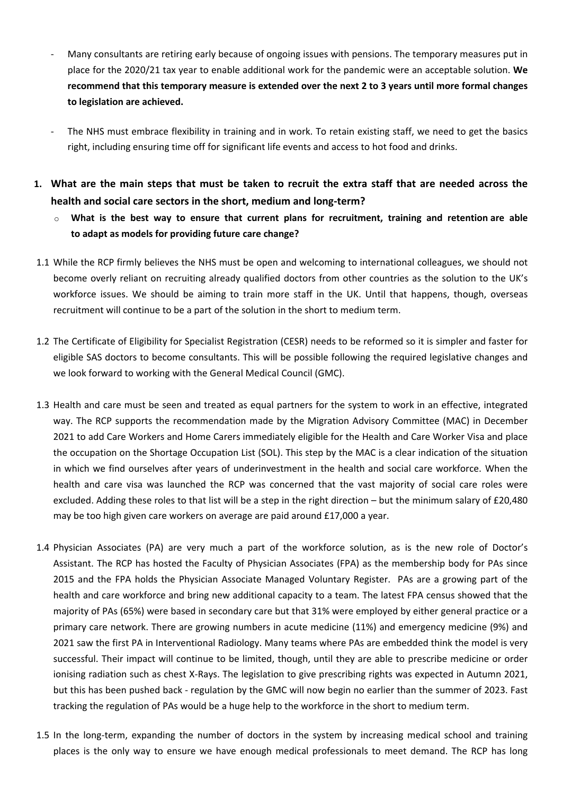- Many consultants are retiring early because of ongoing issues with pensions. The temporary measures put in place for the 2020/21 tax year to enable additional work for the pandemic were an acceptable solution. **We** recommend that this temporary measure is extended over the next 2 to 3 years until more formal changes **to legislation are achieved.**
- The NHS must embrace flexibility in training and in work. To retain existing staff, we need to get the basics right, including ensuring time off for significant life events and access to hot food and drinks.
- 1. What are the main steps that must be taken to recruit the extra staff that are needed across the **health and social care sectors in the short, medium and long-term?**
	- o **What is the best way to ensure that current plans for recruitment, training and retention are able to adapt as models for providing future care change?**
- 1.1 While the RCP firmly believes the NHS must be open and welcoming to international colleagues, we should not become overly reliant on recruiting already qualified doctors from other countries as the solution to the UK's workforce issues. We should be aiming to train more staff in the UK. Until that happens, though, overseas recruitment will continue to be a part of the solution in the short to medium term.
- 1.2 The Certificate of Eligibility for Specialist Registration (CESR) needs to be reformed so it is simpler and faster for eligible SAS doctors to become consultants. This will be possible following the required legislative changes and we look forward to working with the General Medical Council (GMC).
- 1.3 Health and care must be seen and treated as equal partners for the system to work in an effective, integrated way. The RCP supports the recommendation made by the Migration Advisory Committee (MAC) in December 2021 to add Care Workers and Home Carers immediately eligible for the Health and Care Worker Visa and place the occupation on the Shortage Occupation List (SOL). This step by the MAC is a clear indication of the situation in which we find ourselves after years of underinvestment in the health and social care workforce. When the health and care visa was launched the RCP was concerned that the vast majority of social care roles were excluded. Adding these roles to that list will be a step in the right direction – but the minimum salary of £20,480 may be too high given care workers on average are paid around £17,000 a year.
- 1.4 Physician Associates (PA) are very much a part of the workforce solution, as is the new role of Doctor's Assistant. The RCP has hosted the Faculty of Physician Associates (FPA) as the membership body for PAs since 2015 and the FPA holds the Physician Associate Managed Voluntary Register. PAs are a growing part of the health and care workforce and bring new additional capacity to a team. The latest FPA census showed that the majority of PAs (65%) were based in secondary care but that 31% were employed by either general practice or a primary care network. There are growing numbers in acute medicine (11%) and emergency medicine (9%) and 2021 saw the first PA in Interventional Radiology. Many teams where PAs are embedded think the model is very successful. Their impact will continue to be limited, though, until they are able to prescribe medicine or order ionising radiation such as chest X-Rays. The legislation to give prescribing rights was expected in Autumn 2021, but this has been pushed back - regulation by the GMC will now begin no earlier than the summer of 2023. Fast tracking the regulation of PAs would be a huge help to the workforce in the short to medium term.
- 1.5 In the long-term, expanding the number of doctors in the system by increasing medical school and training places is the only way to ensure we have enough medical professionals to meet demand. The RCP has long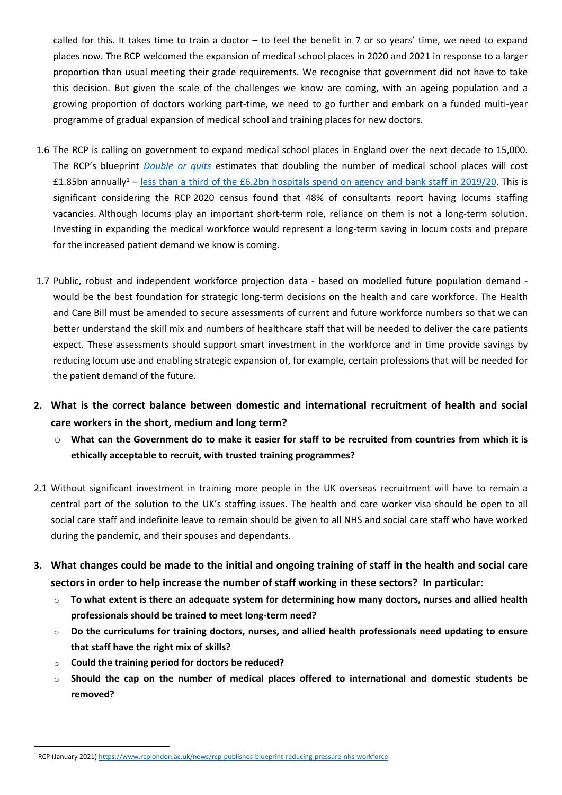called for this. It takes time to train a doctor – to feel the benefit in 7 or so years' time, we need to expand places now. The RCP welcomed the expansion of medical school places in 2020 and 2021 in response to a larger proportion than usual meeting their grade requirements. We recognise that government did not have to take this decision. But given the scale of the challenges we know are coming, with an ageing population and a growing proportion of doctors working part-time, we need to go further and embark on a funded multi-year programme of gradual expansion of medical school and training places for new doctors.

- 1.6 The RCP is calling on government to expand medical school places in England over the next decade to 15,000. The RCP's blueprint *[Double](https://www.rcplondon.ac.uk/news/rcp-publishes-blueprint-reducing-pressure-nhs-workforce) [or](https://www.rcplondon.ac.uk/news/rcp-publishes-blueprint-reducing-pressure-nhs-workforce) [quits](https://www.rcplondon.ac.uk/news/rcp-publishes-blueprint-reducing-pressure-nhs-workforce)* estimates that doubling the number of medical school places will cost £1.85bn annually<sup>1</sup> – [less](https://questions-statements.parliament.uk/written-questions/detail/2020-07-08/71059) [than](https://questions-statements.parliament.uk/written-questions/detail/2020-07-08/71059) [a](https://questions-statements.parliament.uk/written-questions/detail/2020-07-08/71059) [third](https://questions-statements.parliament.uk/written-questions/detail/2020-07-08/71059) [of](https://questions-statements.parliament.uk/written-questions/detail/2020-07-08/71059) [the](https://questions-statements.parliament.uk/written-questions/detail/2020-07-08/71059) [£6.2bn](https://questions-statements.parliament.uk/written-questions/detail/2020-07-08/71059) [hospitals](https://questions-statements.parliament.uk/written-questions/detail/2020-07-08/71059) [spend](https://questions-statements.parliament.uk/written-questions/detail/2020-07-08/71059) [on](https://questions-statements.parliament.uk/written-questions/detail/2020-07-08/71059) [agency](https://questions-statements.parliament.uk/written-questions/detail/2020-07-08/71059) [and](https://questions-statements.parliament.uk/written-questions/detail/2020-07-08/71059) [bank](https://questions-statements.parliament.uk/written-questions/detail/2020-07-08/71059) [staff](https://questions-statements.parliament.uk/written-questions/detail/2020-07-08/71059) in 2019/20. This is significant considering the RCP 2020 census found that 48% of consultants report having locums staffing vacancies. Although locums play an important short-term role, reliance on them is not a long-term solution. Investing in expanding the medical workforce would represent a long-term saving in locum costs and prepare for the increased patient demand we know is coming.
- 1.7 Public, robust and independent workforce projection data based on modelled future population demand would be the best foundation for strategic long-term decisions on the health and care workforce. The Health and Care Bill must be amended to secure assessments of current and future workforce numbers so that we can better understand the skill mix and numbers of healthcare staff that will be needed to deliver the care patients expect. These assessments should support smart investment in the workforce and in time provide savings by reducing locum use and enabling strategic expansion of, for example, certain professions that will be needed for the patient demand of the future.
- **2. What is the correct balance between domestic and international recruitment of health and social care workers in the short, medium and long term?**
	- What can the Government do to make it easier for staff to be recruited from countries from which it is **ethically acceptable to recruit, with trusted training programmes?**
- 2.1 Without significant investment in training more people in the UK overseas recruitment will have to remain a central part of the solution to the UK's staffing issues. The health and care worker visa should be open to all social care staff and indefinite leave to remain should be given to all NHS and social care staff who have worked during the pandemic, and their spouses and dependants.
- 3. What changes could be made to the initial and ongoing training of staff in the health and social care **sectors in order to help increase the number of staff working in these sectors?  In particular:**
	- o **To what extent is there an adequate system for determining how many doctors, nurses and allied health professionals should be trained to meet long-term need?**
	- o **Do the curriculums for training doctors, nurses, and allied health professionals need updating to ensure that staff have the right mix of skills?**
	- o **Could the training period for doctors be reduced?**
	- o **Should the cap on the number of medical places offered to international and domestic students be removed?**

<sup>1</sup> RCP (January 2021) <https://www.rcplondon.ac.uk/news/rcp-publishes-blueprint-reducing-pressure-nhs-workforce>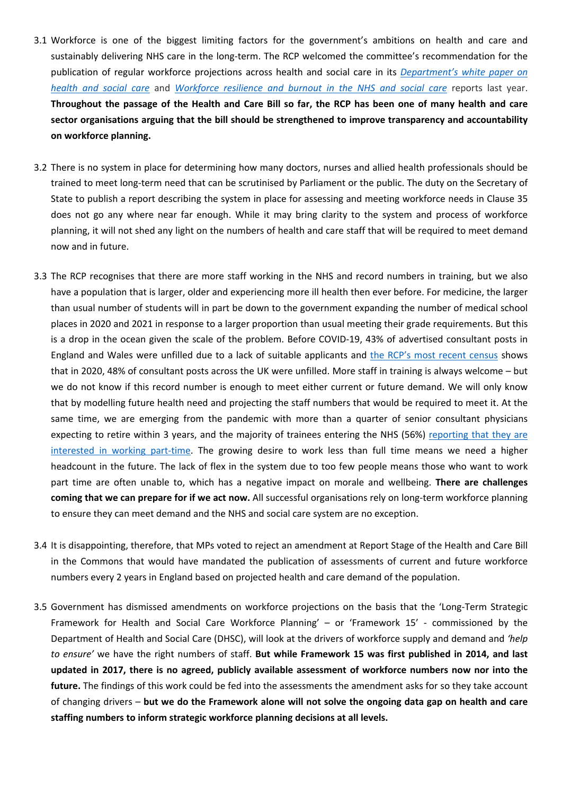- 3.1 Workforce is one of the biggest limiting factors for the government's ambitions on health and care and sustainably delivering NHS care in the long-term. The RCP welcomed the committee's recommendation for the publication of regular workforce projections across health and social care in its *[Department's](https://committees.parliament.uk/publications/5827/documents/67112/default/) [white](https://committees.parliament.uk/publications/5827/documents/67112/default/) [paper](https://committees.parliament.uk/publications/5827/documents/67112/default/) [on](https://committees.parliament.uk/publications/5827/documents/67112/default/) [health](https://committees.parliament.uk/publications/5827/documents/67112/default/) [and](https://committees.parliament.uk/publications/5827/documents/67112/default/) [social](https://committees.parliament.uk/publications/5827/documents/67112/default/) [care](https://committees.parliament.uk/publications/5827/documents/67112/default/)* and *[Workforce](https://committees.parliament.uk/publications/6158/documents/68766/default/) [resilience](https://committees.parliament.uk/publications/6158/documents/68766/default/) [and](https://committees.parliament.uk/publications/6158/documents/68766/default/) [burnout](https://committees.parliament.uk/publications/6158/documents/68766/default/) [in](https://committees.parliament.uk/publications/6158/documents/68766/default/) [the](https://committees.parliament.uk/publications/6158/documents/68766/default/) [NHS](https://committees.parliament.uk/publications/6158/documents/68766/default/) [and](https://committees.parliament.uk/publications/6158/documents/68766/default/) [social](https://committees.parliament.uk/publications/6158/documents/68766/default/) [care](https://committees.parliament.uk/publications/6158/documents/68766/default/)* reports last year. Throughout the passage of the Health and Care Bill so far, the RCP has been one of many health and care **sector organisations arguing that the bill should be strengthened to improve transparency and accountability on workforce planning.**
- 3.2 There is no system in place for determining how many doctors, nurses and allied health professionals should be trained to meet long-term need that can be scrutinised by Parliament or the public. The duty on the Secretary of State to publish a report describing the system in place for assessing and meeting workforce needs in Clause 35 does not go any where near far enough. While it may bring clarity to the system and process of workforce planning, it will not shed any light on the numbers of health and care staff that will be required to meet demand now and in future.
- 3.3 The RCP recognises that there are more staff working in the NHS and record numbers in training, but we also have a population that is larger, older and experiencing more ill health then ever before. For medicine, the larger than usual number of students will in part be down to the government expanding the number of medical school places in 2020 and 2021 in response to a larger proportion than usual meeting their grade requirements. But this is a drop in the ocean given the scale of the problem. Before COVID-19, 43% of advertised consultant posts in England and Wales were unfilled due to a lack of suitable applicants and [the](https://www.rcplondon.ac.uk/projects/outputs/life-time-covid-19-2020-uk-consultant-census) [RCP's](https://www.rcplondon.ac.uk/projects/outputs/life-time-covid-19-2020-uk-consultant-census) [most](https://www.rcplondon.ac.uk/projects/outputs/life-time-covid-19-2020-uk-consultant-census) [recent](https://www.rcplondon.ac.uk/projects/outputs/life-time-covid-19-2020-uk-consultant-census) [census](https://www.rcplondon.ac.uk/projects/outputs/life-time-covid-19-2020-uk-consultant-census) shows that in 2020, 48% of consultant posts across the UK were unfilled. More staff in training is always welcome – but we do not know if this record number is enough to meet either current or future demand. We will only know that by modelling future health need and projecting the staff numbers that would be required to meet it. At the same time, we are emerging from the pandemic with more than a quarter of senior consultant physicians expecting to retire within 3 years, and the majority of trainees entering the NHS (56%) [reporting](https://www.rcplondon.ac.uk/projects/outputs/covid-19-and-workforce-desire-flexible-working-become-norm) [that](https://www.rcplondon.ac.uk/projects/outputs/covid-19-and-workforce-desire-flexible-working-become-norm) [they](https://www.rcplondon.ac.uk/projects/outputs/covid-19-and-workforce-desire-flexible-working-become-norm) [are](https://www.rcplondon.ac.uk/projects/outputs/covid-19-and-workforce-desire-flexible-working-become-norm) [interested](https://www.rcplondon.ac.uk/projects/outputs/covid-19-and-workforce-desire-flexible-working-become-norm) [in](https://www.rcplondon.ac.uk/projects/outputs/covid-19-and-workforce-desire-flexible-working-become-norm) [working](https://www.rcplondon.ac.uk/projects/outputs/covid-19-and-workforce-desire-flexible-working-become-norm) [part-time.](https://www.rcplondon.ac.uk/projects/outputs/covid-19-and-workforce-desire-flexible-working-become-norm) The growing desire to work less than full time means we need a higher headcount in the future. The lack of flex in the system due to too few people means those who want to work part time are often unable to, which has a negative impact on morale and wellbeing. **There are challenges coming that we can prepare for if we act now.** All successful organisations rely on long-term workforce planning to ensure they can meet demand and the NHS and social care system are no exception.
- 3.4 It is disappointing, therefore, that MPs voted to reject an amendment at Report Stage of the Health and Care Bill in the Commons that would have mandated the publication of assessments of current and future workforce numbers every 2 years in England based on projected health and care demand of the population.
- 3.5 Government has dismissed amendments on workforce projections on the basis that the 'Long-Term Strategic Framework for Health and Social Care Workforce Planning' – or 'Framework 15' - commissioned by the Department of Health and Social Care (DHSC), will look at the drivers of workforce supply and demand and *'help to ensure'* we have the right numbers of staff. **But while Framework 15 was first published in 2014, and last updated in 2017, there is no agreed, publicly available assessment of workforce numbers now nor into the future.** The findings of this work could be fed into the assessments the amendment asks for so they take account of changing drivers – but we do the Framework alone will not solve the ongoing data gap on health and care **staffing numbers to inform strategic workforce planning decisions at all levels.**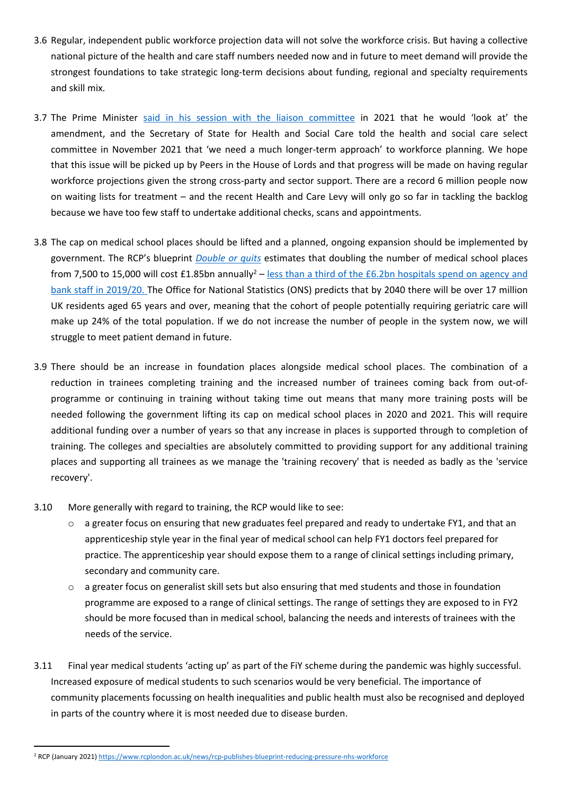- 3.6 Regular, independent public workforce projection data will not solve the workforce crisis. But having a collective national picture of the health and care staff numbers needed now and in future to meet demand will provide the strongest foundations to take strategic long-term decisions about funding, regional and specialty requirements and skill mix.
- 3.7 The Prime Minister [said](https://committees.parliament.uk/oralevidence/3007/default/) [in](https://committees.parliament.uk/oralevidence/3007/default/) [his](https://committees.parliament.uk/oralevidence/3007/default/) [session](https://committees.parliament.uk/oralevidence/3007/default/) [with](https://committees.parliament.uk/oralevidence/3007/default/) [the](https://committees.parliament.uk/oralevidence/3007/default/) [liaison](https://committees.parliament.uk/oralevidence/3007/default/) [committee](https://committees.parliament.uk/oralevidence/3007/default/) in 2021 that he would 'look at' the amendment, and the Secretary of State for Health and Social Care told the health and social care select committee in November 2021 that 'we need a much longer-term approach' to workforce planning. We hope that this issue will be picked up by Peers in the House of Lords and that progress will be made on having regular workforce projections given the strong cross-party and sector support. There are a record 6 million people now on waiting lists for treatment – and the recent Health and Care Levy will only go so far in tackling the backlog because we have too few staff to undertake additional checks, scans and appointments.
- 3.8 The cap on medical school places should be lifted and a planned, ongoing expansion should be implemented by government. The RCP's blueprint *[Double](https://www.rcplondon.ac.uk/news/rcp-publishes-blueprint-reducing-pressure-nhs-workforce) [or](https://www.rcplondon.ac.uk/news/rcp-publishes-blueprint-reducing-pressure-nhs-workforce) [quits](https://www.rcplondon.ac.uk/news/rcp-publishes-blueprint-reducing-pressure-nhs-workforce)* estimates that doubling the number of medical school places from 7,500 to 15,000 will cost £1.85bn annually<sup>2</sup> – [less](https://questions-statements.parliament.uk/written-questions/detail/2020-07-08/71059) [than](https://questions-statements.parliament.uk/written-questions/detail/2020-07-08/71059) [a](https://questions-statements.parliament.uk/written-questions/detail/2020-07-08/71059) [third](https://questions-statements.parliament.uk/written-questions/detail/2020-07-08/71059) [of](https://questions-statements.parliament.uk/written-questions/detail/2020-07-08/71059) [the](https://questions-statements.parliament.uk/written-questions/detail/2020-07-08/71059) [£6.2bn](https://questions-statements.parliament.uk/written-questions/detail/2020-07-08/71059) [hospitals](https://questions-statements.parliament.uk/written-questions/detail/2020-07-08/71059) [spend](https://questions-statements.parliament.uk/written-questions/detail/2020-07-08/71059) [on](https://questions-statements.parliament.uk/written-questions/detail/2020-07-08/71059) [agency](https://questions-statements.parliament.uk/written-questions/detail/2020-07-08/71059) [and](https://questions-statements.parliament.uk/written-questions/detail/2020-07-08/71059) [bank](https://questions-statements.parliament.uk/written-questions/detail/2020-07-08/71059) [staff](https://questions-statements.parliament.uk/written-questions/detail/2020-07-08/71059) in 2019/20. The Office for National Statistics (ONS) predicts that by 2040 there will be over 17 million UK residents aged 65 years and over, meaning that the cohort of people potentially requiring geriatric care will make up 24% of the total population. If we do not increase the number of people in the system now, we will struggle to meet patient demand in future.
- 3.9 There should be an increase in foundation places alongside medical school places. The combination of a reduction in trainees completing training and the increased number of trainees coming back from out-ofprogramme or continuing in training without taking time out means that many more training posts will be needed following the government lifting its cap on medical school places in 2020 and 2021. This will require additional funding over a number of years so that any increase in places is supported through to completion of training. The colleges and specialties are absolutely committed to providing support for any additional training places and supporting all trainees as we manage the 'training recovery' that is needed as badly as the 'service recovery'.
- 3.10 More generally with regard to training, the RCP would like to see:
	- $\circ$  a greater focus on ensuring that new graduates feel prepared and ready to undertake FY1, and that an apprenticeship style year in the final year of medical school can help FY1 doctors feel prepared for practice. The apprenticeship year should expose them to a range of clinical settings including primary, secondary and community care.
	- $\circ$  a greater focus on generalist skill sets but also ensuring that med students and those in foundation programme are exposed to a range of clinical settings. The range of settings they are exposed to in FY2 should be more focused than in medical school, balancing the needs and interests of trainees with the needs of the service.
- 3.11 Final year medical students 'acting up' as part of the FiY scheme during the pandemic was highly successful. Increased exposure of medical students to such scenarios would be very beneficial. The importance of community placements focussing on health inequalities and public health must also be recognised and deployed in parts of the country where it is most needed due to disease burden.

<sup>2</sup> RCP (January 2021) <https://www.rcplondon.ac.uk/news/rcp-publishes-blueprint-reducing-pressure-nhs-workforce>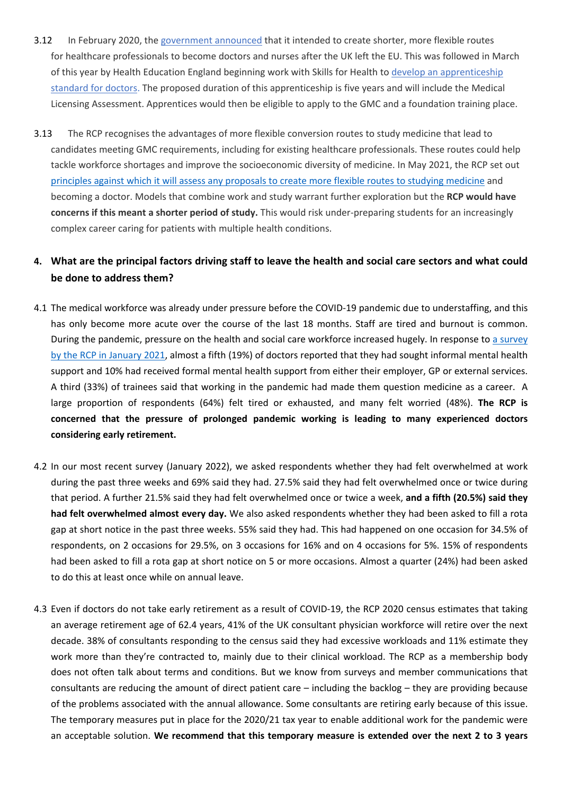- 3.12 In February 2020, the [government](https://www.gov.uk/government/news/government-considers-more-flexible-training-for-healthcare-professionals-switching-discipline) [announced](https://www.gov.uk/government/news/government-considers-more-flexible-training-for-healthcare-professionals-switching-discipline) that it intended to create shorter, more flexible routes for healthcare professionals to become doctors and nurses after the UK left the EU. This was followed in March of this year by Health Education England beginning work with Skills for Health to [develop](https://www.instituteforapprenticeships.org/developing-new-apprenticeships/resources/apprenticeship-standard-consultations-survey?entry=%7B%22OccupationHidden%22:%22Doctor%22,%22Stage%22:%22Proposal%22,%22UKStartDateHidden%22:%2208%20Mar%202021%22,%22UKCloseDateHidden%22:%2221%20Mar%202021%22,%22SystemStartDateUS%22:%222021-03-08%22,%22SystemCloseDateUS%22:%222021-03-21%22%7D&consultation=20341) [an](https://www.instituteforapprenticeships.org/developing-new-apprenticeships/resources/apprenticeship-standard-consultations-survey?entry=%7B%22OccupationHidden%22:%22Doctor%22,%22Stage%22:%22Proposal%22,%22UKStartDateHidden%22:%2208%20Mar%202021%22,%22UKCloseDateHidden%22:%2221%20Mar%202021%22,%22SystemStartDateUS%22:%222021-03-08%22,%22SystemCloseDateUS%22:%222021-03-21%22%7D&consultation=20341) [apprenticeship](https://www.instituteforapprenticeships.org/developing-new-apprenticeships/resources/apprenticeship-standard-consultations-survey?entry=%7B%22OccupationHidden%22:%22Doctor%22,%22Stage%22:%22Proposal%22,%22UKStartDateHidden%22:%2208%20Mar%202021%22,%22UKCloseDateHidden%22:%2221%20Mar%202021%22,%22SystemStartDateUS%22:%222021-03-08%22,%22SystemCloseDateUS%22:%222021-03-21%22%7D&consultation=20341) [standard](https://www.instituteforapprenticeships.org/developing-new-apprenticeships/resources/apprenticeship-standard-consultations-survey?entry=%7B%22OccupationHidden%22:%22Doctor%22,%22Stage%22:%22Proposal%22,%22UKStartDateHidden%22:%2208%20Mar%202021%22,%22UKCloseDateHidden%22:%2221%20Mar%202021%22,%22SystemStartDateUS%22:%222021-03-08%22,%22SystemCloseDateUS%22:%222021-03-21%22%7D&consultation=20341) [for](https://www.instituteforapprenticeships.org/developing-new-apprenticeships/resources/apprenticeship-standard-consultations-survey?entry=%7B%22OccupationHidden%22:%22Doctor%22,%22Stage%22:%22Proposal%22,%22UKStartDateHidden%22:%2208%20Mar%202021%22,%22UKCloseDateHidden%22:%2221%20Mar%202021%22,%22SystemStartDateUS%22:%222021-03-08%22,%22SystemCloseDateUS%22:%222021-03-21%22%7D&consultation=20341) [doctors.](https://www.instituteforapprenticeships.org/developing-new-apprenticeships/resources/apprenticeship-standard-consultations-survey?entry=%7B%22OccupationHidden%22:%22Doctor%22,%22Stage%22:%22Proposal%22,%22UKStartDateHidden%22:%2208%20Mar%202021%22,%22UKCloseDateHidden%22:%2221%20Mar%202021%22,%22SystemStartDateUS%22:%222021-03-08%22,%22SystemCloseDateUS%22:%222021-03-21%22%7D&consultation=20341) The proposed duration of this apprenticeship is five years and will include the Medical Licensing Assessment. Apprentices would then be eligible to apply to the GMC and a foundation training place.
- 3.13 The RCP recognises the advantages of more flexible conversion routes to study medicine that lead to candidates meeting GMC requirements, including for existing healthcare professionals. These routes could help tackle workforce shortages and improve the socioeconomic diversity of medicine. In May 2021, the RCP set out [principles](https://www.rcplondon.ac.uk/news/more-flexible-routes-studying-medicine-and-becoming-doctor-rcp-principles) [against](https://www.rcplondon.ac.uk/news/more-flexible-routes-studying-medicine-and-becoming-doctor-rcp-principles) [which](https://www.rcplondon.ac.uk/news/more-flexible-routes-studying-medicine-and-becoming-doctor-rcp-principles) [it](https://www.rcplondon.ac.uk/news/more-flexible-routes-studying-medicine-and-becoming-doctor-rcp-principles) [will](https://www.rcplondon.ac.uk/news/more-flexible-routes-studying-medicine-and-becoming-doctor-rcp-principles) [assess](https://www.rcplondon.ac.uk/news/more-flexible-routes-studying-medicine-and-becoming-doctor-rcp-principles) [any](https://www.rcplondon.ac.uk/news/more-flexible-routes-studying-medicine-and-becoming-doctor-rcp-principles) [proposals](https://www.rcplondon.ac.uk/news/more-flexible-routes-studying-medicine-and-becoming-doctor-rcp-principles) [to](https://www.rcplondon.ac.uk/news/more-flexible-routes-studying-medicine-and-becoming-doctor-rcp-principles) [create](https://www.rcplondon.ac.uk/news/more-flexible-routes-studying-medicine-and-becoming-doctor-rcp-principles) [more](https://www.rcplondon.ac.uk/news/more-flexible-routes-studying-medicine-and-becoming-doctor-rcp-principles) [flexible](https://www.rcplondon.ac.uk/news/more-flexible-routes-studying-medicine-and-becoming-doctor-rcp-principles) [routes](https://www.rcplondon.ac.uk/news/more-flexible-routes-studying-medicine-and-becoming-doctor-rcp-principles) [to](https://www.rcplondon.ac.uk/news/more-flexible-routes-studying-medicine-and-becoming-doctor-rcp-principles) [studying](https://www.rcplondon.ac.uk/news/more-flexible-routes-studying-medicine-and-becoming-doctor-rcp-principles) [medicine](https://www.rcplondon.ac.uk/news/more-flexible-routes-studying-medicine-and-becoming-doctor-rcp-principles) and becoming a doctor. Models that combine work and study warrant further exploration but the **RCP would have concerns if this meant a shorter period of study.** This would risk under-preparing students for an increasingly complex career caring for patients with multiple health conditions.

### 4. What are the principal factors driving staff to leave the health and social care sectors and what could **be done to address them?**

- 4.1 The medical workforce was already under pressure before the COVID-19 pandemic due to understaffing, and this has only become more acute over the course of the last 18 months. Staff are tired and burnout is common. During the pandemic, pressure on the health and social care workforce increased hugely. In response to [a](https://www.rcplondon.ac.uk/projects/outputs/covid-19-and-workforce-impact-second-wave) [survey](https://www.rcplondon.ac.uk/projects/outputs/covid-19-and-workforce-impact-second-wave) [by](https://www.rcplondon.ac.uk/projects/outputs/covid-19-and-workforce-impact-second-wave) [the](https://www.rcplondon.ac.uk/projects/outputs/covid-19-and-workforce-impact-second-wave) [RCP](https://www.rcplondon.ac.uk/projects/outputs/covid-19-and-workforce-impact-second-wave) [in](https://www.rcplondon.ac.uk/projects/outputs/covid-19-and-workforce-impact-second-wave) [January](https://www.rcplondon.ac.uk/projects/outputs/covid-19-and-workforce-impact-second-wave) [2021,](https://www.rcplondon.ac.uk/projects/outputs/covid-19-and-workforce-impact-second-wave) almost a fifth (19%) of doctors reported that they had sought informal mental health support and 10% had received formal mental health support from either their employer, GP or external services. A third (33%) of trainees said that working in the pandemic had made them question medicine as a career. A large proportion of respondents (64%) felt tired or exhausted, and many felt worried (48%). **The RCP is concerned that the pressure of prolonged pandemic working is leading to many experienced doctors considering early retirement.**
- 4.2 In our most recent survey (January 2022), we asked respondents whether they had felt overwhelmed at work during the past three weeks and 69% said they had. 27.5% said they had felt overwhelmed once or twice during that period. A further 21.5% said they had felt overwhelmed once or twice a week, **and a fifth (20.5%) said they had felt overwhelmed almost every day.** We also asked respondents whether they had been asked to fill a rota gap at short notice in the past three weeks. 55% said they had. This had happened on one occasion for 34.5% of respondents, on 2 occasions for 29.5%, on 3 occasions for 16% and on 4 occasions for 5%. 15% of respondents had been asked to fill a rota gap at short notice on 5 or more occasions. Almost a quarter (24%) had been asked to do this at least once while on annual leave.
- 4.3 Even if doctors do not take early retirement as a result of COVID-19, the RCP 2020 census estimates that taking an average retirement age of 62.4 years, 41% of the UK consultant physician workforce will retire over the next decade. 38% of consultants responding to the census said they had excessive workloads and 11% estimate they work more than they're contracted to, mainly due to their clinical workload. The RCP as a membership body does not often talk about terms and conditions. But we know from surveys and member communications that consultants are reducing the amount of direct patient care – including the backlog – they are providing because of the problems associated with the annual allowance. Some consultants are retiring early because of this issue. The temporary measures put in place for the 2020/21 tax year to enable additional work for the pandemic were an acceptable solution. **We recommend that this temporary measure is extended over the next 2 to 3 years**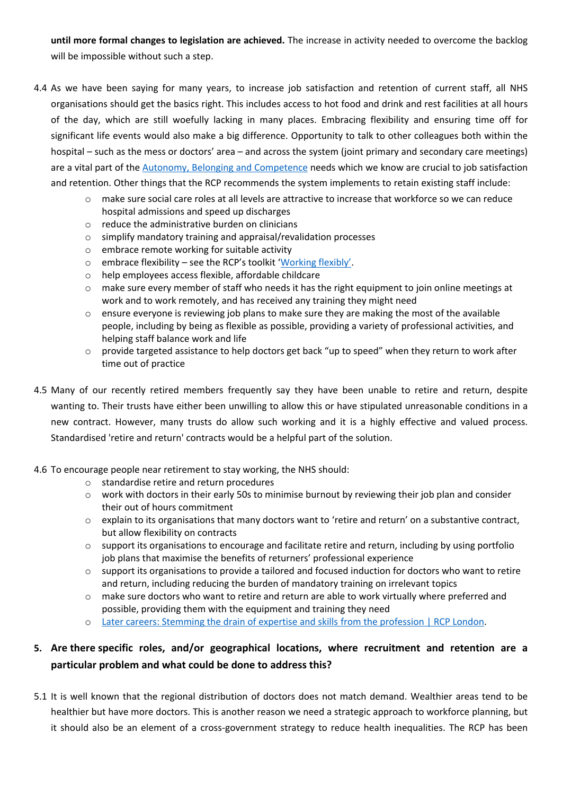**until more formal changes to legislation are achieved.** The increase in activity needed to overcome the backlog will be impossible without such a step.

- 4.4 As we have been saying for many years, to increase job satisfaction and retention of current staff, all NHS organisations should get the basics right. This includes access to hot food and drink and rest facilities at all hours of the day, which are still woefully lacking in many places. Embracing flexibility and ensuring time off for significant life events would also make a big difference. Opportunity to talk to other colleagues both within the hospital – such as the mess or doctors' area – and across the system (joint primary and secondary care meetings) are a vital part of the [Autonomy,](https://www.gmc-uk.org/-/media/documents/caring-for-doctors-caring-for-patients_pdf-80706341.pdf) [Belonging](https://www.gmc-uk.org/-/media/documents/caring-for-doctors-caring-for-patients_pdf-80706341.pdf) [and](https://www.gmc-uk.org/-/media/documents/caring-for-doctors-caring-for-patients_pdf-80706341.pdf) [Competence](https://www.gmc-uk.org/-/media/documents/caring-for-doctors-caring-for-patients_pdf-80706341.pdf) needs which we know are crucial to job satisfaction and retention. Other things that the RCP recommends the system implements to retain existing staff include:
	- o make sure social care roles at all levels are attractive to increase that workforce so we can reduce hospital admissions and speed up discharges
	- o reduce the administrative burden on clinicians
	- o simplify mandatory training and appraisal/revalidation processes
	- o embrace remote working for suitable activity
	- o embrace flexibility see the RCP's toolkit ['Working](https://www.rcplondon.ac.uk/projects/working-flexibly-toolkit) [flexibly'](https://www.rcplondon.ac.uk/projects/working-flexibly-toolkit).
	- o help employees access flexible, affordable childcare
	- $\circ$  make sure every member of staff who needs it has the right equipment to join online meetings at work and to work remotely, and has received any training they might need
	- o ensure everyone is reviewing job plans to make sure they are making the most of the available people, including by being as flexible as possible, providing a variety of professional activities, and helping staff balance work and life
	- o provide targeted assistance to help doctors get back "up to speed" when they return to work after time out of practice
- 4.5 Many of our recently retired members frequently say they have been unable to retire and return, despite wanting to. Their trusts have either been unwilling to allow this or have stipulated unreasonable conditions in a new contract. However, many trusts do allow such working and it is a highly effective and valued process. Standardised 'retire and return' contracts would be a helpful part of the solution.
- 4.6 To encourage people near retirement to stay working, the NHS should:
	- o standardise retire and return procedures
	- o work with doctors in their early 50s to minimise burnout by reviewing their job plan and consider their out of hours commitment
	- o explain to its organisations that many doctors want to 'retire and return' on a substantive contract, but allow flexibility on contracts
	- $\circ$  support its organisations to encourage and facilitate retire and return, including by using portfolio job plans that maximise the benefits of returners' professional experience
	- o support its organisations to provide a tailored and focused induction for doctors who want to retire and return, including reducing the burden of mandatory training on irrelevant topics
	- $\circ$  make sure doctors who want to retire and return are able to work virtually where preferred and possible, providing them with the equipment and training they need
	- o [Later](https://www.rcplondon.ac.uk/projects/outputs/later-careers-stemming-drain-expertise-and-skills-profession) [careers:](https://www.rcplondon.ac.uk/projects/outputs/later-careers-stemming-drain-expertise-and-skills-profession) [Stemming](https://www.rcplondon.ac.uk/projects/outputs/later-careers-stemming-drain-expertise-and-skills-profession) [the](https://www.rcplondon.ac.uk/projects/outputs/later-careers-stemming-drain-expertise-and-skills-profession) [drain](https://www.rcplondon.ac.uk/projects/outputs/later-careers-stemming-drain-expertise-and-skills-profession) [of](https://www.rcplondon.ac.uk/projects/outputs/later-careers-stemming-drain-expertise-and-skills-profession) [expertise](https://www.rcplondon.ac.uk/projects/outputs/later-careers-stemming-drain-expertise-and-skills-profession) [and](https://www.rcplondon.ac.uk/projects/outputs/later-careers-stemming-drain-expertise-and-skills-profession) [skills](https://www.rcplondon.ac.uk/projects/outputs/later-careers-stemming-drain-expertise-and-skills-profession) [from](https://www.rcplondon.ac.uk/projects/outputs/later-careers-stemming-drain-expertise-and-skills-profession) [the](https://www.rcplondon.ac.uk/projects/outputs/later-careers-stemming-drain-expertise-and-skills-profession) [profession](https://www.rcplondon.ac.uk/projects/outputs/later-careers-stemming-drain-expertise-and-skills-profession) [|](https://www.rcplondon.ac.uk/projects/outputs/later-careers-stemming-drain-expertise-and-skills-profession) [RCP](https://www.rcplondon.ac.uk/projects/outputs/later-careers-stemming-drain-expertise-and-skills-profession) [London](https://www.rcplondon.ac.uk/projects/outputs/later-careers-stemming-drain-expertise-and-skills-profession).

## **5. Are there specific roles, and/or geographical locations, where recruitment and retention are a particular problem and what could be done to address this?**

5.1 It is well known that the regional distribution of doctors does not match demand. Wealthier areas tend to be healthier but have more doctors. This is another reason we need a strategic approach to workforce planning, but it should also be an element of a cross-government strategy to reduce health inequalities. The RCP has been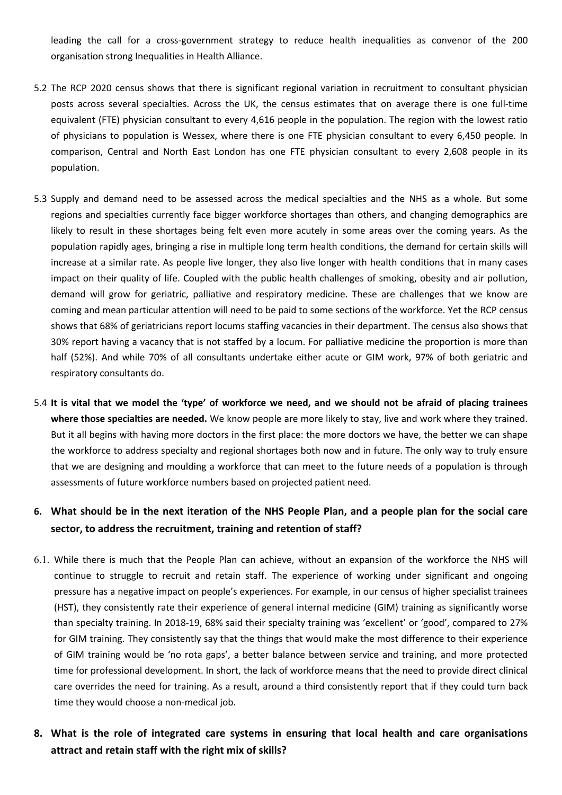leading the call for a cross-government strategy to reduce health inequalities as convenor of the 200 organisation strong Inequalities in Health Alliance.

- 5.2 The RCP 2020 census shows that there is significant regional variation in recruitment to consultant physician posts across several specialties. Across the UK, the census estimates that on average there is one full-time equivalent (FTE) physician consultant to every 4,616 people in the population. The region with the lowest ratio of physicians to population is Wessex, where there is one FTE physician consultant to every 6,450 people. In comparison, Central and North East London has one FTE physician consultant to every 2,608 people in its population.
- 5.3 Supply and demand need to be assessed across the medical specialties and the NHS as a whole. But some regions and specialties currently face bigger workforce shortages than others, and changing demographics are likely to result in these shortages being felt even more acutely in some areas over the coming years. As the population rapidly ages, bringing a rise in multiple long term health conditions, the demand for certain skills will increase at a similar rate. As people live longer, they also live longer with health conditions that in many cases impact on their quality of life. Coupled with the public health challenges of smoking, obesity and air pollution, demand will grow for geriatric, palliative and respiratory medicine. These are challenges that we know are coming and mean particular attention will need to be paid to some sections of the workforce. Yet the RCP census shows that 68% of geriatricians report locums staffing vacancies in their department. The census also shows that 30% report having a vacancy that is not staffed by a locum. For palliative medicine the proportion is more than half (52%). And while 70% of all consultants undertake either acute or GIM work, 97% of both geriatric and respiratory consultants do.
- 5.4 It is vital that we model the 'type' of workforce we need, and we should not be afraid of placing trainees **where those specialties are needed.** We know people are more likely to stay, live and work where they trained. But it all begins with having more doctors in the first place: the more doctors we have, the better we can shape the workforce to address specialty and regional shortages both now and in future. The only way to truly ensure that we are designing and moulding a workforce that can meet to the future needs of a population is through assessments of future workforce numbers based on projected patient need.

#### 6. What should be in the next iteration of the NHS People Plan, and a people plan for the social care **sector, to address the recruitment, training and retention of staff?**

- 6.1. While there is much that the People Plan can achieve, without an expansion of the workforce the NHS will continue to struggle to recruit and retain staff. The experience of working under significant and ongoing pressure has a negative impact on people's experiences. For example, in our census of higher specialist trainees (HST), they consistently rate their experience of general internal medicine (GIM) training as significantly worse than specialty training. In 2018-19, 68% said their specialty training was 'excellent' or 'good', compared to 27% for GIM training. They consistently say that the things that would make the most difference to their experience of GIM training would be 'no rota gaps', a better balance between service and training, and more protected time for professional development. In short, the lack of workforce means that the need to provide direct clinical care overrides the need for training. As a result, around a third consistently report that if they could turn back time they would choose a non-medical job.
- **8. What is the role of integrated care systems in ensuring that local health and care organisations attract and retain staff with the right mix of skills?**